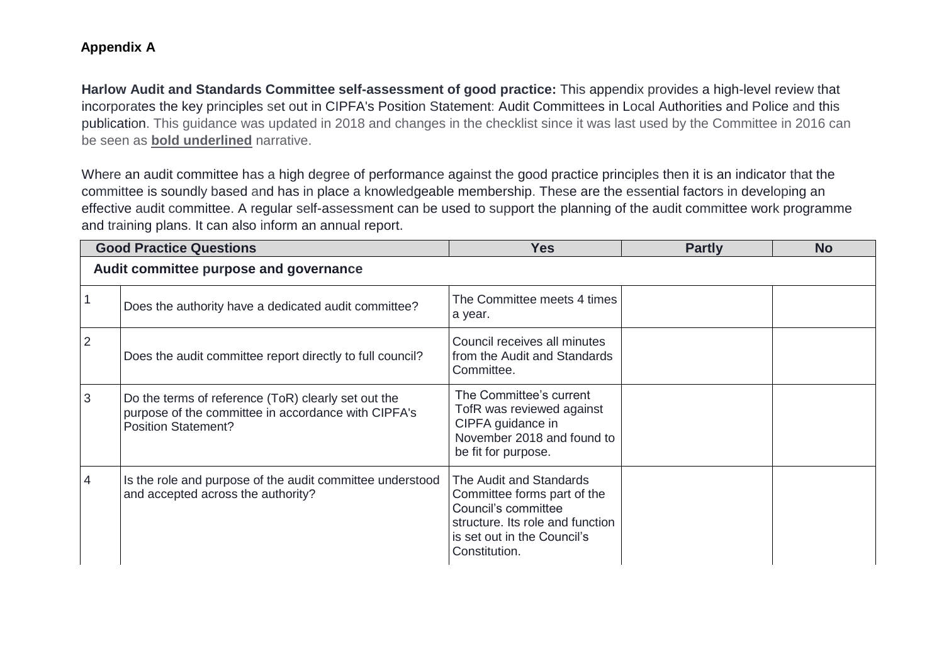## **Appendix A**

**Harlow Audit and Standards Committee self-assessment of good practice:** This appendix provides a high-level review that incorporates the key principles set out in CIPFA's Position Statement: Audit Committees in Local Authorities and Police and this publication. This guidance was updated in 2018 and changes in the checklist since it was last used by the Committee in 2016 can be seen as **bold underlined** narrative.

Where an audit committee has a high degree of performance against the good practice principles then it is an indicator that the committee is soundly based and has in place a knowledgeable membership. These are the essential factors in developing an effective audit committee. A regular self-assessment can be used to support the planning of the audit committee work programme and training plans. It can also inform an annual report.

| <b>Good Practice Questions</b>         |                                                                                                                                          | <b>Yes</b>                                                                                                                                                        | <b>Partly</b> | <b>No</b> |  |  |
|----------------------------------------|------------------------------------------------------------------------------------------------------------------------------------------|-------------------------------------------------------------------------------------------------------------------------------------------------------------------|---------------|-----------|--|--|
| Audit committee purpose and governance |                                                                                                                                          |                                                                                                                                                                   |               |           |  |  |
|                                        | Does the authority have a dedicated audit committee?                                                                                     | The Committee meets 4 times<br>a year.                                                                                                                            |               |           |  |  |
| $\overline{2}$                         | Does the audit committee report directly to full council?                                                                                | Council receives all minutes<br>from the Audit and Standards<br>Committee.                                                                                        |               |           |  |  |
| 3                                      | Do the terms of reference (ToR) clearly set out the<br>purpose of the committee in accordance with CIPFA's<br><b>Position Statement?</b> | The Committee's current<br>TofR was reviewed against<br>CIPFA guidance in<br>November 2018 and found to<br>be fit for purpose.                                    |               |           |  |  |
| 4                                      | Is the role and purpose of the audit committee understood<br>and accepted across the authority?                                          | The Audit and Standards<br>Committee forms part of the<br>Council's committee<br>structure. Its role and function<br>is set out in the Council's<br>Constitution. |               |           |  |  |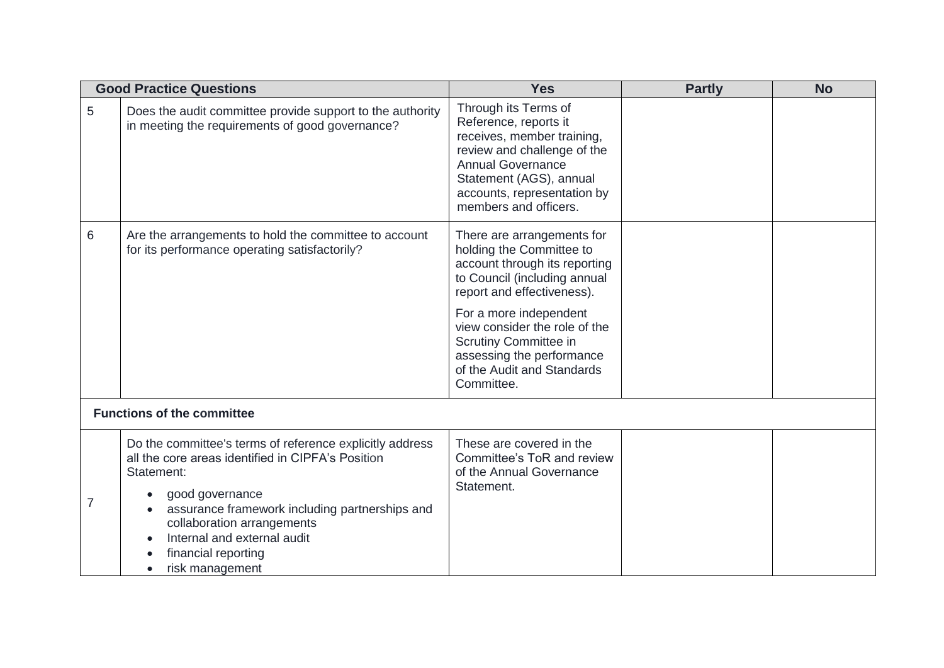| <b>Good Practice Questions</b> |                                                                                                                                                                                                                                                                                                                      | <b>Yes</b>                                                                                                                                                                                                                                                                                                         | <b>Partly</b> | <b>No</b> |  |  |
|--------------------------------|----------------------------------------------------------------------------------------------------------------------------------------------------------------------------------------------------------------------------------------------------------------------------------------------------------------------|--------------------------------------------------------------------------------------------------------------------------------------------------------------------------------------------------------------------------------------------------------------------------------------------------------------------|---------------|-----------|--|--|
| 5                              | Does the audit committee provide support to the authority<br>in meeting the requirements of good governance?                                                                                                                                                                                                         | Through its Terms of<br>Reference, reports it<br>receives, member training,<br>review and challenge of the<br><b>Annual Governance</b><br>Statement (AGS), annual<br>accounts, representation by<br>members and officers.                                                                                          |               |           |  |  |
| 6                              | Are the arrangements to hold the committee to account<br>for its performance operating satisfactorily?                                                                                                                                                                                                               | There are arrangements for<br>holding the Committee to<br>account through its reporting<br>to Council (including annual<br>report and effectiveness).<br>For a more independent<br>view consider the role of the<br>Scrutiny Committee in<br>assessing the performance<br>of the Audit and Standards<br>Committee. |               |           |  |  |
|                                | <b>Functions of the committee</b>                                                                                                                                                                                                                                                                                    |                                                                                                                                                                                                                                                                                                                    |               |           |  |  |
| 7                              | Do the committee's terms of reference explicitly address<br>all the core areas identified in CIPFA's Position<br>Statement:<br>good governance<br>$\bullet$<br>assurance framework including partnerships and<br>collaboration arrangements<br>Internal and external audit<br>financial reporting<br>risk management | These are covered in the<br>Committee's ToR and review<br>of the Annual Governance<br>Statement.                                                                                                                                                                                                                   |               |           |  |  |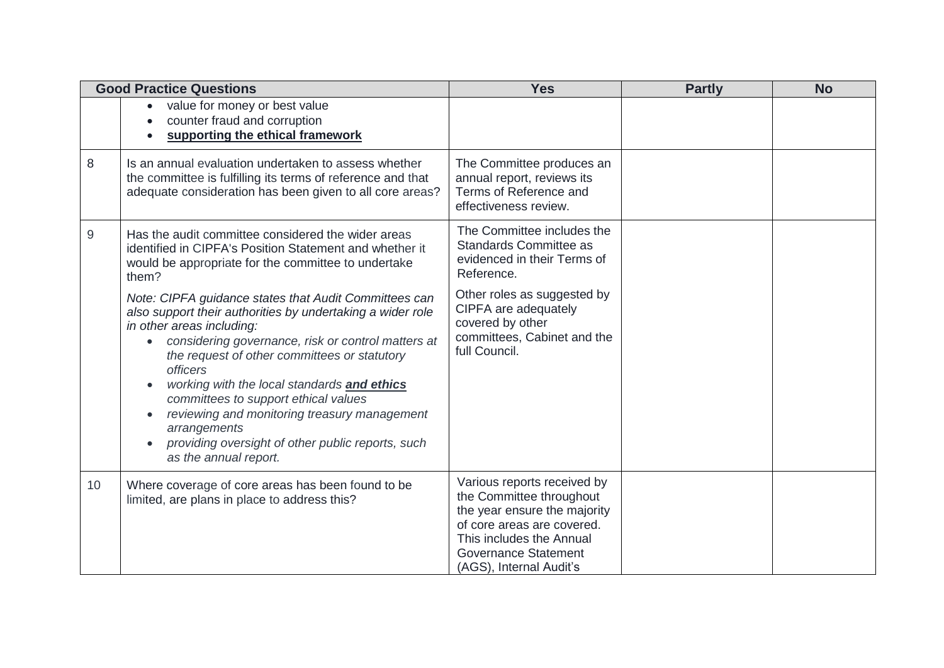| <b>Good Practice Questions</b> |                                                                                                                                                                                                                                                                                                                                                                                                                                                                                                                                                                    | <b>Yes</b>                                                                                                                                                                                                  | <b>Partly</b> | <b>No</b> |
|--------------------------------|--------------------------------------------------------------------------------------------------------------------------------------------------------------------------------------------------------------------------------------------------------------------------------------------------------------------------------------------------------------------------------------------------------------------------------------------------------------------------------------------------------------------------------------------------------------------|-------------------------------------------------------------------------------------------------------------------------------------------------------------------------------------------------------------|---------------|-----------|
|                                | value for money or best value<br>$\bullet$<br>counter fraud and corruption<br>supporting the ethical framework                                                                                                                                                                                                                                                                                                                                                                                                                                                     |                                                                                                                                                                                                             |               |           |
| 8                              | Is an annual evaluation undertaken to assess whether<br>the committee is fulfilling its terms of reference and that<br>adequate consideration has been given to all core areas?                                                                                                                                                                                                                                                                                                                                                                                    | The Committee produces an<br>annual report, reviews its<br>Terms of Reference and<br>effectiveness review.                                                                                                  |               |           |
| 9                              | Has the audit committee considered the wider areas<br>identified in CIPFA's Position Statement and whether it<br>would be appropriate for the committee to undertake<br>them?                                                                                                                                                                                                                                                                                                                                                                                      | The Committee includes the<br><b>Standards Committee as</b><br>evidenced in their Terms of<br>Reference.                                                                                                    |               |           |
|                                | Note: CIPFA guidance states that Audit Committees can<br>also support their authorities by undertaking a wider role<br>in other areas including:<br>considering governance, risk or control matters at<br>$\bullet$<br>the request of other committees or statutory<br><i>officers</i><br>working with the local standards and ethics<br>$\bullet$<br>committees to support ethical values<br>reviewing and monitoring treasury management<br>$\bullet$<br>arrangements<br>providing oversight of other public reports, such<br>$\bullet$<br>as the annual report. | Other roles as suggested by<br>CIPFA are adequately<br>covered by other<br>committees, Cabinet and the<br>full Council.                                                                                     |               |           |
| 10                             | Where coverage of core areas has been found to be<br>limited, are plans in place to address this?                                                                                                                                                                                                                                                                                                                                                                                                                                                                  | Various reports received by<br>the Committee throughout<br>the year ensure the majority<br>of core areas are covered.<br>This includes the Annual<br><b>Governance Statement</b><br>(AGS), Internal Audit's |               |           |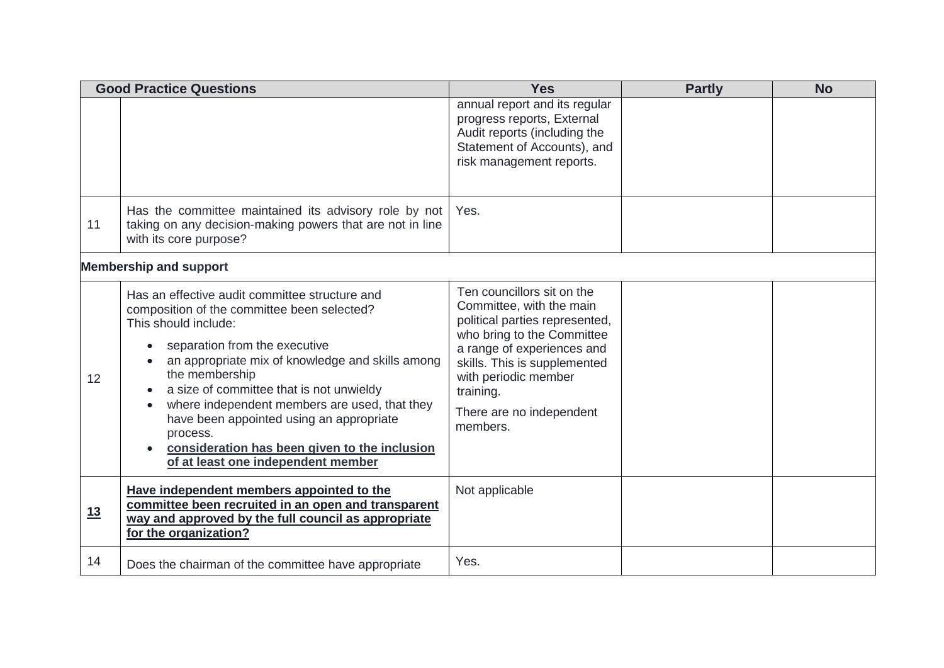| <b>Good Practice Questions</b> |                                                                                                                                                                                                                                                                                                                                                                                                                                                                          | <b>Yes</b>                                                                                                                                                                                                                                                        | <b>Partly</b> | <b>No</b> |
|--------------------------------|--------------------------------------------------------------------------------------------------------------------------------------------------------------------------------------------------------------------------------------------------------------------------------------------------------------------------------------------------------------------------------------------------------------------------------------------------------------------------|-------------------------------------------------------------------------------------------------------------------------------------------------------------------------------------------------------------------------------------------------------------------|---------------|-----------|
|                                |                                                                                                                                                                                                                                                                                                                                                                                                                                                                          | annual report and its regular<br>progress reports, External<br>Audit reports (including the<br>Statement of Accounts), and<br>risk management reports.                                                                                                            |               |           |
| 11                             | Has the committee maintained its advisory role by not<br>taking on any decision-making powers that are not in line<br>with its core purpose?                                                                                                                                                                                                                                                                                                                             | Yes.                                                                                                                                                                                                                                                              |               |           |
| <b>Membership and support</b>  |                                                                                                                                                                                                                                                                                                                                                                                                                                                                          |                                                                                                                                                                                                                                                                   |               |           |
| 12                             | Has an effective audit committee structure and<br>composition of the committee been selected?<br>This should include:<br>separation from the executive<br>an appropriate mix of knowledge and skills among<br>the membership<br>a size of committee that is not unwieldy<br>where independent members are used, that they<br>have been appointed using an appropriate<br>process.<br>consideration has been given to the inclusion<br>of at least one independent member | Ten councillors sit on the<br>Committee, with the main<br>political parties represented,<br>who bring to the Committee<br>a range of experiences and<br>skills. This is supplemented<br>with periodic member<br>training.<br>There are no independent<br>members. |               |           |
| 13                             | Have independent members appointed to the<br>committee been recruited in an open and transparent<br>way and approved by the full council as appropriate<br>for the organization?                                                                                                                                                                                                                                                                                         | Not applicable                                                                                                                                                                                                                                                    |               |           |
| 14                             | Does the chairman of the committee have appropriate                                                                                                                                                                                                                                                                                                                                                                                                                      | Yes.                                                                                                                                                                                                                                                              |               |           |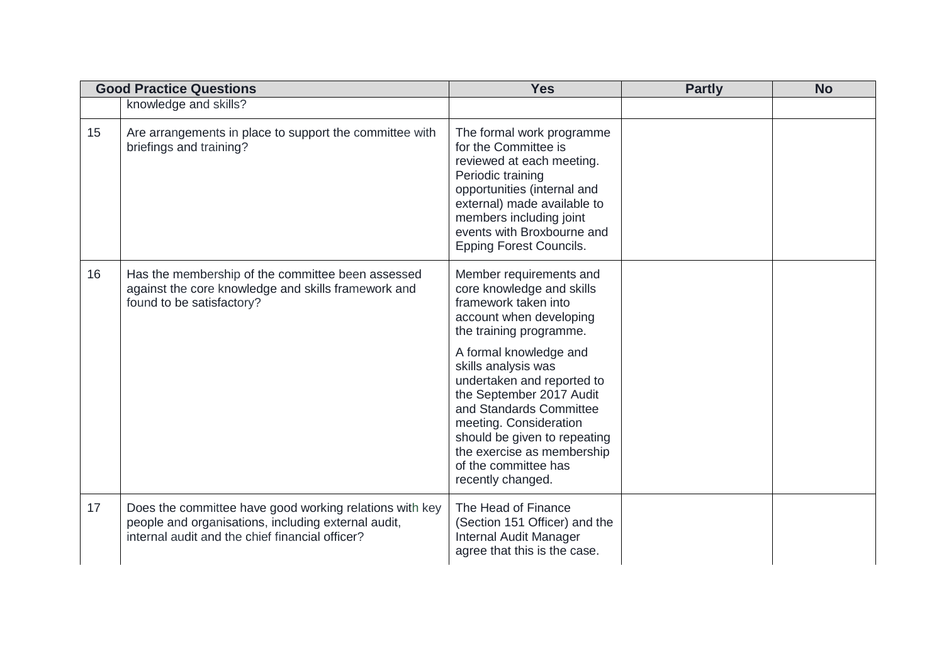|    | <b>Good Practice Questions</b>                                                                                                                                    | <b>Yes</b>                                                                                                                                                                                                                                                   | <b>Partly</b> | <b>No</b> |
|----|-------------------------------------------------------------------------------------------------------------------------------------------------------------------|--------------------------------------------------------------------------------------------------------------------------------------------------------------------------------------------------------------------------------------------------------------|---------------|-----------|
|    | knowledge and skills?                                                                                                                                             |                                                                                                                                                                                                                                                              |               |           |
| 15 | Are arrangements in place to support the committee with<br>briefings and training?                                                                                | The formal work programme<br>for the Committee is<br>reviewed at each meeting.<br>Periodic training<br>opportunities (internal and<br>external) made available to<br>members including joint<br>events with Broxbourne and<br><b>Epping Forest Councils.</b> |               |           |
| 16 | Has the membership of the committee been assessed<br>against the core knowledge and skills framework and<br>found to be satisfactory?                             | Member requirements and<br>core knowledge and skills<br>framework taken into<br>account when developing<br>the training programme.<br>A formal knowledge and                                                                                                 |               |           |
|    |                                                                                                                                                                   | skills analysis was<br>undertaken and reported to<br>the September 2017 Audit<br>and Standards Committee<br>meeting. Consideration<br>should be given to repeating<br>the exercise as membership<br>of the committee has<br>recently changed.                |               |           |
| 17 | Does the committee have good working relations with key<br>people and organisations, including external audit,<br>internal audit and the chief financial officer? | The Head of Finance<br>(Section 151 Officer) and the<br>Internal Audit Manager<br>agree that this is the case.                                                                                                                                               |               |           |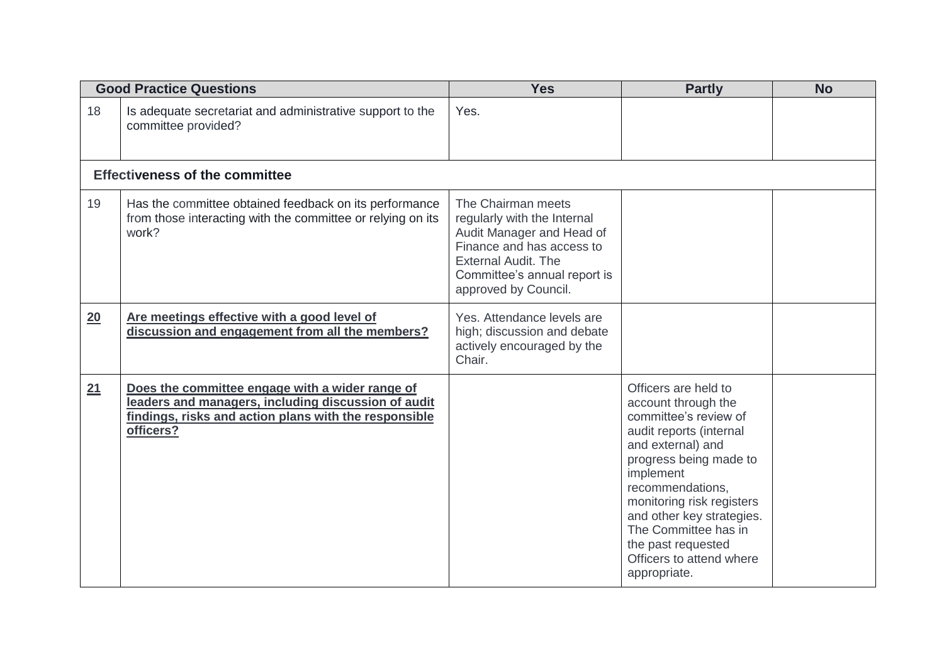| <b>Good Practice Questions</b> |                                                                                                                                                                              | <b>Yes</b>                                                                                                                                                                                        | <b>Partly</b>                                                                                                                                                                                                                                                                                                                       | <b>No</b> |
|--------------------------------|------------------------------------------------------------------------------------------------------------------------------------------------------------------------------|---------------------------------------------------------------------------------------------------------------------------------------------------------------------------------------------------|-------------------------------------------------------------------------------------------------------------------------------------------------------------------------------------------------------------------------------------------------------------------------------------------------------------------------------------|-----------|
| 18                             | Is adequate secretariat and administrative support to the<br>committee provided?                                                                                             | Yes.                                                                                                                                                                                              |                                                                                                                                                                                                                                                                                                                                     |           |
|                                | <b>Effectiveness of the committee</b>                                                                                                                                        |                                                                                                                                                                                                   |                                                                                                                                                                                                                                                                                                                                     |           |
| 19                             | Has the committee obtained feedback on its performance<br>from those interacting with the committee or relying on its<br>work?                                               | The Chairman meets<br>regularly with the Internal<br>Audit Manager and Head of<br>Finance and has access to<br><b>External Audit. The</b><br>Committee's annual report is<br>approved by Council. |                                                                                                                                                                                                                                                                                                                                     |           |
| 20                             | Are meetings effective with a good level of<br>discussion and engagement from all the members?                                                                               | Yes. Attendance levels are<br>high; discussion and debate<br>actively encouraged by the<br>Chair.                                                                                                 |                                                                                                                                                                                                                                                                                                                                     |           |
| 21                             | Does the committee engage with a wider range of<br>leaders and managers, including discussion of audit<br>findings, risks and action plans with the responsible<br>officers? |                                                                                                                                                                                                   | Officers are held to<br>account through the<br>committee's review of<br>audit reports (internal<br>and external) and<br>progress being made to<br>implement<br>recommendations,<br>monitoring risk registers<br>and other key strategies.<br>The Committee has in<br>the past requested<br>Officers to attend where<br>appropriate. |           |